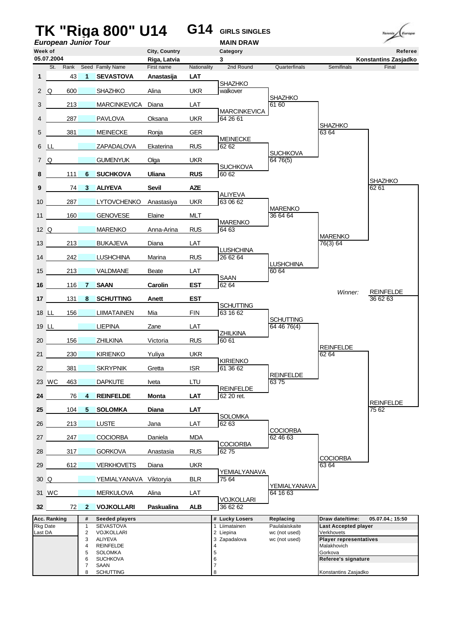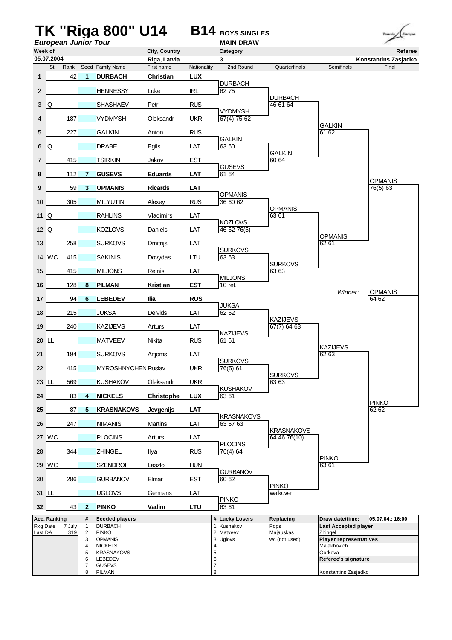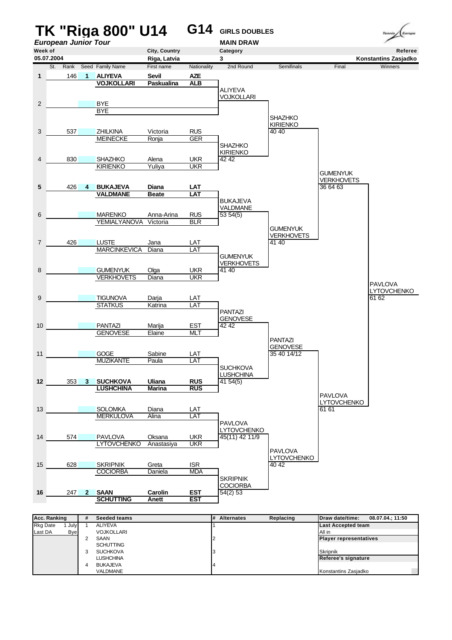

| Last DA | Bve |   | <b>VOJKOLLARI</b> | TAII in                       |
|---------|-----|---|-------------------|-------------------------------|
|         |     |   | SAAN              | <b>Player representatives</b> |
|         |     |   | <b>SCHUTTING</b>  |                               |
|         |     |   | <b>SUCHKOVA</b>   | <b>Skripnik</b>               |
|         |     |   | LUSHCHINA         | Referee's signature           |
|         |     | 4 | <b>BUKAJEVA</b>   |                               |
|         |     |   | VALDMANE          | Konstantins Zasjadko          |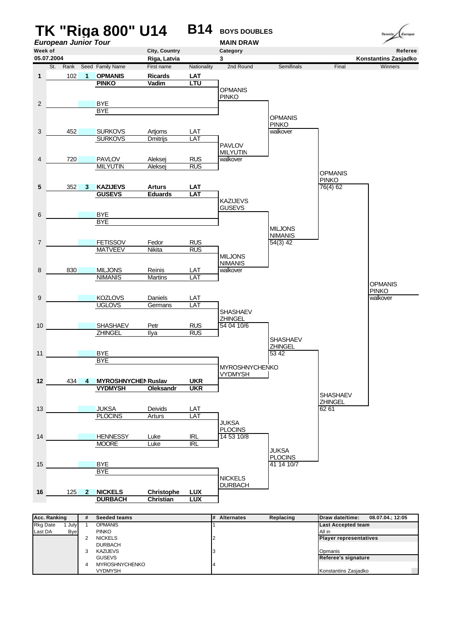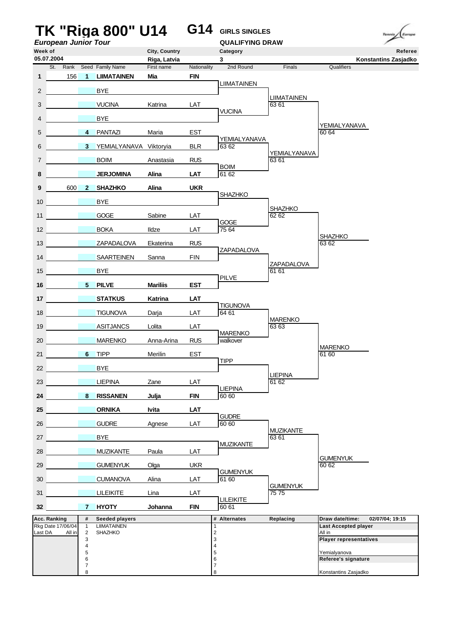|                  | <b>European Junior Tour</b>       |                                | TK "Riga 800" U14                           |                   | G14                       | <b>GIRLS SINGLES</b><br><b>QUALIFYING DRAW</b> |                         |                                | Territo<br>Europe    |
|------------------|-----------------------------------|--------------------------------|---------------------------------------------|-------------------|---------------------------|------------------------------------------------|-------------------------|--------------------------------|----------------------|
| Week of          |                                   |                                |                                             | City, Country     |                           | Category                                       |                         |                                | Referee              |
| 05.07.2004       |                                   |                                |                                             | Riga, Latvia      |                           | 3                                              |                         |                                | Konstantins Zasjadko |
| $\mathbf{1}$     | St.<br>156                        | $\blacktriangleleft$           | Rank Seed Family Name<br><b>LIIMATAINEN</b> | First name<br>Mia | Nationality<br><b>FIN</b> | 2nd Round                                      | Finals                  | Qualifiers                     |                      |
|                  |                                   |                                |                                             |                   |                           | <b>LIIMATAINEN</b>                             |                         |                                |                      |
| $\overline{2}$   |                                   | <b>Contract</b>                | <b>BYE</b>                                  |                   |                           |                                                | <b>LIIMATAINEN</b>      |                                |                      |
| 3                |                                   |                                | <b>VUCINA</b>                               | Katrina           | LAT                       | <b>VUCINA</b>                                  | 63 61                   |                                |                      |
| 4                |                                   |                                | <b>BYE</b>                                  |                   |                           |                                                |                         | YEMIALYANAVA                   |                      |
| 5                |                                   |                                | 4 PANTAZI                                   | Maria             | <b>EST</b>                |                                                |                         | 60 64                          |                      |
| 6                |                                   |                                | 3 YEMIALYANAVA Viktoryia                    |                   | <b>BLR</b>                | YEMIALYANAVA<br>63 62                          |                         |                                |                      |
| $\overline{7}$   |                                   |                                | <b>BOIM</b>                                 | Anastasia         | <b>RUS</b>                |                                                | YEMIALYANAVA<br>63 61   |                                |                      |
| 8                |                                   |                                | <b>JERJOMINA</b>                            | Alina             | <b>LAT</b>                | <b>BOIM</b><br>61 62                           |                         |                                |                      |
| 9                | 600                               | $\overline{\mathbf{2}}$        | <b>SHAZHKO</b>                              | Alina             | <b>UKR</b>                |                                                |                         |                                |                      |
|                  |                                   |                                |                                             |                   |                           | <b>SHAZHKO</b>                                 |                         |                                |                      |
| 10               | <b>Contract Contract Contract</b> |                                | <b>BYE</b>                                  |                   |                           |                                                | <b>SHAZHKO</b>          |                                |                      |
| 11               | <b>Contract Contract</b>          |                                | <b>GOGE</b>                                 | Sabine            | LAT                       | GOGE                                           | 62 62                   |                                |                      |
|                  | 12                                |                                | <b>BOKA</b>                                 | Ildze             | LAT                       | 75 64                                          |                         | <b>SHAZHKO</b>                 |                      |
|                  | 13                                |                                | ZAPADALOVA                                  | Ekaterina         | <b>RUS</b>                |                                                |                         | 63 62                          |                      |
| 14               | <b>STATE OF BUILDING</b>          |                                | <b>SAARTEINEN</b>                           | Sanna             | <b>FIN</b>                | ZAPADALOVA                                     |                         |                                |                      |
| 15 <sup>15</sup> | <b>Contract Contract Contract</b> |                                | <b>BYE</b>                                  |                   |                           |                                                | ZAPADALOVA<br>61 61     |                                |                      |
| 16               | $\overline{\phantom{0}}$ 5        |                                | <b>PILVE</b>                                | <b>Mariliis</b>   | <b>EST</b>                | <b>PILVE</b>                                   |                         |                                |                      |
| 17 <sub>1</sub>  | <b>Service Control</b>            |                                | <b>STATKUS</b>                              | <b>Katrina</b>    | <b>LAT</b>                |                                                |                         |                                |                      |
|                  |                                   |                                |                                             |                   |                           | <b>TIGUNOVA</b>                                |                         |                                |                      |
| 18               |                                   | $\mathcal{L}(\mathcal{A})$     | <b>TIGUNOVA</b>                             | Darja             | LAT                       | 64 61                                          | <b>MARENKO</b>          |                                |                      |
| 19               | <b>Contract Contract State</b>    |                                | <b>ASITJANCS</b>                            | Lolita            | LAT                       | <b>MARENKO</b>                                 | 63 63                   |                                |                      |
| 20               |                                   |                                | <b>MARENKO</b>                              | Anna-Arina        | <b>RUS</b>                | walkover                                       |                         | <b>MARENKO</b>                 |                      |
|                  | 21                                |                                | 6 TIPP                                      | Merilin           | <b>EST</b>                | <b>TIPP</b>                                    |                         | 61 60                          |                      |
| 22               | <b>Contract Contract</b>          |                                | <b>BYE</b>                                  |                   |                           |                                                |                         |                                |                      |
| 23               |                                   |                                | <b>LIEPINA</b>                              | Zane              | LAT                       |                                                | <b>LIEPINA</b><br>61 62 |                                |                      |
|                  | 24                                | 8 <sup>1</sup>                 | <b>RISSANEN</b>                             | Julja             | <b>FIN</b>                | <b>LIEPINA</b><br>60 60                        |                         |                                |                      |
| 25               | <b>Contract Contract</b>          |                                | <b>ORNIKA</b>                               | Ivita             | LAT                       |                                                |                         |                                |                      |
|                  | <b>Contract Contract</b>          |                                |                                             |                   |                           | <b>GUDRE</b>                                   |                         |                                |                      |
| 26               |                                   |                                | <b>GUDRE</b>                                | Agnese            | LAT                       | 60 60                                          | <b>MUZIKANTE</b>        |                                |                      |
| 27               |                                   |                                | <b>BYE</b>                                  |                   |                           | <b>MUZIKANTE</b>                               | 63 61                   |                                |                      |
| 28               | <b>Contract Contract</b>          |                                | <b>MUZIKANTE</b>                            | Paula             | LAT                       |                                                |                         | <b>GUMENYUK</b>                |                      |
| 29               | <b>STATE OF BUILDING</b>          |                                | <b>GUMENYUK</b>                             | Olga              | <b>UKR</b>                |                                                |                         | 60 62                          |                      |
| 30 <sup>°</sup>  | <b>Contract Contract</b>          |                                | <b>CUMANOVA</b>                             | Alina             | LAT                       | <b>GUMENYUK</b><br>61 60                       |                         |                                |                      |
| 31               |                                   |                                | <b>LILEIKITE</b>                            | Lina              | LAT                       |                                                | <b>GUMENYUK</b><br>7575 |                                |                      |
| 32               |                                   | $\overline{7}$                 | <b>HYOTY</b>                                | Johanna           | <b>FIN</b>                | LILEIKITE<br>60 61                             |                         |                                |                      |
| Acc. Ranking     |                                   | #                              | <b>Seeded players</b>                       |                   |                           | # Alternates                                   | Replacing               | Draw date/time:                | 02/07/04; 19:15      |
| Last DA          | Rkg Date 17/06/04<br>All in       | $\mathbf{1}$<br>$\overline{2}$ | LIIMATAINEN<br><b>SHAZHKO</b>               |                   |                           | 1<br>2                                         |                         | Last Accepted player<br>All in |                      |
|                  |                                   | 3                              |                                             |                   |                           | 3                                              |                         | <b>Player representatives</b>  |                      |
|                  |                                   | 4<br>5                         |                                             |                   |                           | $\overline{4}$<br>5                            |                         | Yemialyanova                   |                      |
|                  |                                   | 6<br>$\overline{7}$            |                                             |                   |                           | 6<br>7                                         |                         | Referee's signature            |                      |
|                  |                                   | 8                              |                                             |                   |                           | 8                                              |                         | Konstantins Zasjadko           |                      |